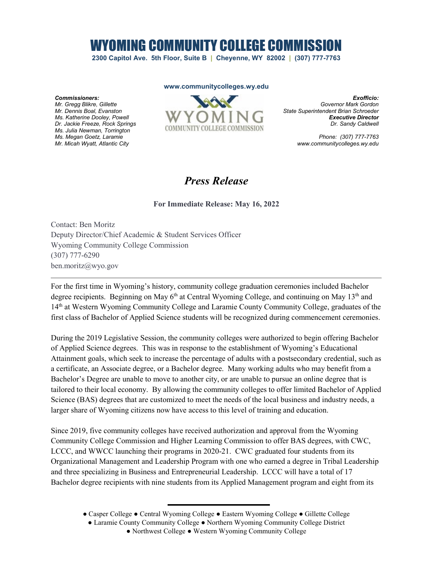## WYOMING COMMUNITY COLLEGE COMMISSION

**2300 Capitol Ave. 5th Floor, Suite B | Cheyenne, WY 82002 | (307) 777-7763**

## **www.communitycolleges.wy.edu**

*Commissioners: Mr. Gregg Blikre, Gillette Mr. Dennis Boal, Evanston Ms. Katherine Dooley, Powell Dr. Jackie Freeze, Rock Springs Ms. Julia Newman, Torrington Ms. Megan Goetz, Laramie Mr. Micah Wyatt, Atlantic City*



*Exofficio: Governor Mark Gordon State Superintendent Brian Schroeder Executive Director Dr. Sandy Caldwell*

> *Phone: (307) 777-7763 www.communitycolleges.wy.edu*

## *Press Release*

**For Immediate Release: May 16, 2022**

Contact: Ben Moritz Deputy Director/Chief Academic & Student Services Officer Wyoming Community College Commission (307) 777-6290 ben.moritz@wyo.gov

For the first time in Wyoming's history, community college graduation ceremonies included Bachelor degree recipients. Beginning on May  $6<sup>th</sup>$  at Central Wyoming College, and continuing on May 13<sup>th</sup> and 14th at Western Wyoming Community College and Laramie County Community College, graduates of the first class of Bachelor of Applied Science students will be recognized during commencement ceremonies.

During the 2019 Legislative Session, the community colleges were authorized to begin offering Bachelor of Applied Science degrees. This was in response to the establishment of Wyoming's Educational Attainment goals, which seek to increase the percentage of adults with a postsecondary credential, such as a certificate, an Associate degree, or a Bachelor degree. Many working adults who may benefit from a Bachelor's Degree are unable to move to another city, or are unable to pursue an online degree that is tailored to their local economy. By allowing the community colleges to offer limited Bachelor of Applied Science (BAS) degrees that are customized to meet the needs of the local business and industry needs, a larger share of Wyoming citizens now have access to this level of training and education.

Since 2019, five community colleges have received authorization and approval from the Wyoming Community College Commission and Higher Learning Commission to offer BAS degrees, with CWC, LCCC, and WWCC launching their programs in 2020-21. CWC graduated four students from its Organizational Management and Leadership Program with one who earned a degree in Tribal Leadership and three specializing in Business and Entrepreneurial Leadership. LCCC will have a total of 17 Bachelor degree recipients with nine students from its Applied Management program and eight from its

<sup>●</sup> Casper College ● Central Wyoming College ● Eastern Wyoming College ● Gillette College

<sup>●</sup> Laramie County Community College ● Northern Wyoming Community College District

<sup>●</sup> Northwest College ● Western Wyoming Community College